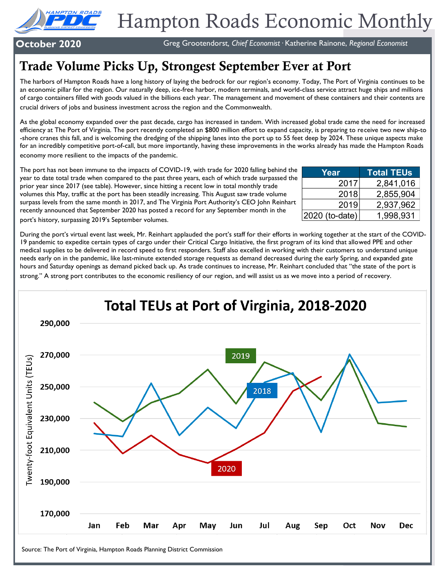

# Hampton Roads Economic Monthly

**October 2020** Greg Grootendorst, Chief Economist · Katherine Rainone, Regional Economist

## Trade Volume Picks Up, Strongest September Ever at Port

The harbors of Hampton Roads have a long history of laying the bedrock for our region's economy. Today, The Port of Virginia continues to be an economic pillar for the region. Our naturally deep, ice-free harbor, modern terminals, and world-class service attract huge ships and millions of cargo containers filled with goods valued in the billions each year. The management and movement of these containers and their contents are crucial drivers of jobs and business investment across the region and the Commonwealth.

As the global economy expanded over the past decade, cargo has increased in tandem. With increased global trade came the need for increased efficiency at The Port of Virginia. The port recently completed an \$800 million effort to expand capacity, is preparing to receive two new ship-to -shore cranes this fall, and is welcoming the dredging of the shipping lanes into the port up to 55 feet deep by 2024. These unique aspects make for an incredibly competitive port-of-call, but more importantly, having these improvements in the works already has made the Hampton Roads economy more resilient to the impacts of the pandemic.

The port has not been immune to the impacts of COVID-19, with trade for 2020 falling behind the year to date total trade when compared to the past three years, each of which trade surpassed the prior year since 2017 (see table). However, since hitting a recent low in total monthly trade volumes this May, traffic at the port has been steadily increasing. This August saw trade volume surpass levels from the same month in 2017, and The Virginia Port Authority's CEO John Reinhart recently announced that September 2020 has posted a record for any September month in the

| Year             | <b>Total TEUs</b> |
|------------------|-------------------|
| 2017             | 2,841,016         |
| 2018             | 2,855,904         |
| 2019             | 2,937,962         |
| $2020$ (to-date) | 1,998,931         |

port's history, surpassing 2019's September volumes.

During the port's virtual event last week, Mr. Reinhart applauded the port's staff for their efforts in working together at the start of the COVID-19 pandemic to expedite certain types of cargo under their Critical Cargo Initiative, the first program of its kind that allowed PPE and other medical supplies to be delivered in record speed to first responders. Staff also excelled in working with their customers to understand unique needs early on in the pandemic, like last-minute extended storage requests as demand decreased during the early Spring, and expanded gate hours and Saturday openings as demand picked back up. As trade continues to increase, Mr. Reinhart concluded that "the state of the port is strong." A strong port contributes to the economic resiliency of our region, and will assist us as we move into a period of recovery.

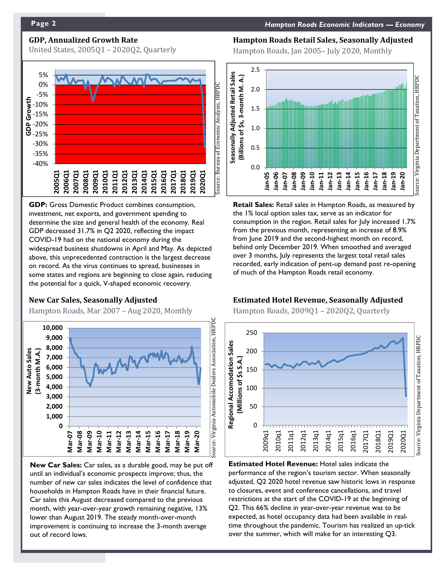### **GDP, Annualized Growth Rate**

United States, 2005Q1 – 2020Q2, Quarterly



**GDP:** Gross Domestic Product combines consumption, investment, net exports, and government spending to determine the size and general health of the economy. Real GDP decreased 31.7% in Q2 2020, reflecting the impact COVID-19 had on the national economy during the widespread business shutdowns in April and May. As depicted above, this unprecedented contraction is the largest decrease on record. As the virus continues to spread, businesses in some states and regions are beginning to close again, reducing the potential for a quick, V-shaped economic recovery.

#### **New Car Sales, Seasonally Adjusted**

Hampton Roads, Mar 2007 – Aug 2020, Monthly



**New Car Sales:** Car sales, as a durable good, may be put off until an individual's economic prospects improve; thus, the number of new car sales indicates the level of confidence that households in Hampton Roads have in their financial future. Car sales this August decreased compared to the previous month, with year-over-year growth remaining negative, 13% lower than August 2019. The steady month-over-month improvement is continuing to increase the 3-month average out of record lows.

#### **Hampton Roads Retail Sales, Seasonally Adjusted**

Hampton Roads, Jan 2005– July 2020, Monthly



**Retail Sales:** Retail sales in Hampton Roads, as measured by the 1% local option sales tax, serve as an indicator for consumption in the region. Retail sales for July increased 1.7% from the previous month, representing an increase of 8.9% from June 2019 and the second-highest month on record, behind only December 2019. When smoothed and averaged over 3 months, July represents the largest total retail sales recorded, early indication of pent-up demand post re-opening of much of the Hampton Roads retail economy.

### **Estimated Hotel Revenue, Seasonally Adjusted**

Hampton Roads, 2009Q1 – 2020Q2, Quarterly



**Estimated Hotel Revenue:** Hotel sales indicate the performance of the region's tourism sector. When seasonally adjusted, Q2 2020 hotel revenue saw historic lows in response to closures, event and conference cancellations, and travel restrictions at the start of the COVID-19 at the beginning of Q2. This 66% decline in year-over-year revenue was to be expected, as hotel occupancy data had been available in realtime throughout the pandemic. Tourism has realized an up-tick over the summer, which will make for an interesting Q3.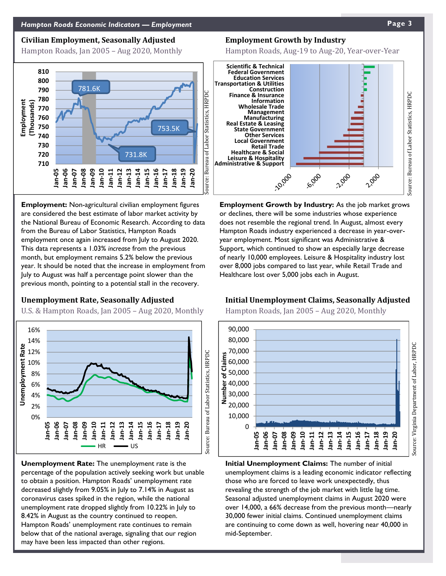#### **Civilian Employment, Seasonally Adjusted**

Hampton Roads, Jan 2005 – Aug 2020, Monthly



**Employment:** Non-agricultural civilian employment figures are considered the best estimate of labor market activity by the National Bureau of Economic Research. According to data from the Bureau of Labor Statistics, Hampton Roads employment once again increased from July to August 2020. This data represents a 1.03% *increase* from the previous month, but employment remains 5.2% below the previous year. It should be noted that the increase in employment from July to August was half a percentage point slower than the previous month, pointing to a potential stall in the recovery.

#### **Unemployment Rate, Seasonally Adjusted**

U.S. & Hampton Roads, Jan 2005 – Aug 2020, Monthly



**Unemployment Rate:** The unemployment rate is the percentage of the population actively seeking work but unable to obtain a position. Hampton Roads' unemployment rate decreased slightly from 9.05% in July to 7.14% in August as coronavirus cases spiked in the region, while the national unemployment rate dropped slightly from 10.22% in July to 8.42% in August as the country continued to reopen. Hampton Roads' unemployment rate continues to remain below that of the national average, signaling that our region may have been less impacted than other regions.

#### **Employment Growth by Industry**

Hampton Roads, Aug-19 to Aug-20, Year-over-Year



**Employment Growth by Industry:** As the job market grows or declines, there will be some industries whose experience does not resemble the regional trend. In August, almost every Hampton Roads industry experienced a decrease in year-overyear employment. Most significant was Administrative & Support, which continued to show an especially large decrease of nearly 10,000 employees. Leisure & Hospitality industry lost over 8,000 jobs compared to last year, while Retail Trade and Healthcare lost over 5,000 jobs each in August.

#### **Initial Unemployment Claims, Seasonally Adjusted**

Hampton Roads, Jan 2005 – Aug 2020, Monthly



**Initial Unemployment Claims:** The number of initial unemployment claims is a leading economic indicator reflecting those who are forced to leave work unexpectedly, thus revealing the strength of the job market with little lag time. Seasonal adjusted unemployment claims in August 2020 were over 14,000, a 66% decrease from the previous month—nearly 30,000 fewer initial claims. Continued unemployment claims are continuing to come down as well, hovering near 40,000 in mid-September.